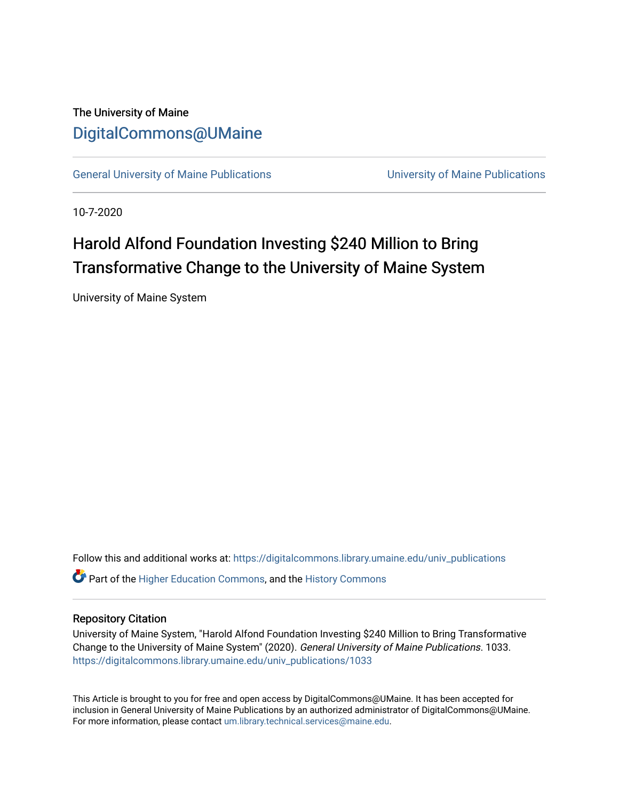# The University of Maine [DigitalCommons@UMaine](https://digitalcommons.library.umaine.edu/)

[General University of Maine Publications](https://digitalcommons.library.umaine.edu/univ_publications) [University of Maine Publications](https://digitalcommons.library.umaine.edu/umaine_publications) 

10-7-2020

# Harold Alfond Foundation Investing \$240 Million to Bring Transformative Change to the University of Maine System

University of Maine System

Follow this and additional works at: [https://digitalcommons.library.umaine.edu/univ\\_publications](https://digitalcommons.library.umaine.edu/univ_publications?utm_source=digitalcommons.library.umaine.edu%2Funiv_publications%2F1033&utm_medium=PDF&utm_campaign=PDFCoverPages) 

**C** Part of the [Higher Education Commons,](http://network.bepress.com/hgg/discipline/1245?utm_source=digitalcommons.library.umaine.edu%2Funiv_publications%2F1033&utm_medium=PDF&utm_campaign=PDFCoverPages) and the [History Commons](http://network.bepress.com/hgg/discipline/489?utm_source=digitalcommons.library.umaine.edu%2Funiv_publications%2F1033&utm_medium=PDF&utm_campaign=PDFCoverPages)

### Repository Citation

University of Maine System, "Harold Alfond Foundation Investing \$240 Million to Bring Transformative Change to the University of Maine System" (2020). General University of Maine Publications. 1033. [https://digitalcommons.library.umaine.edu/univ\\_publications/1033](https://digitalcommons.library.umaine.edu/univ_publications/1033?utm_source=digitalcommons.library.umaine.edu%2Funiv_publications%2F1033&utm_medium=PDF&utm_campaign=PDFCoverPages)

This Article is brought to you for free and open access by DigitalCommons@UMaine. It has been accepted for inclusion in General University of Maine Publications by an authorized administrator of DigitalCommons@UMaine. For more information, please contact [um.library.technical.services@maine.edu](mailto:um.library.technical.services@maine.edu).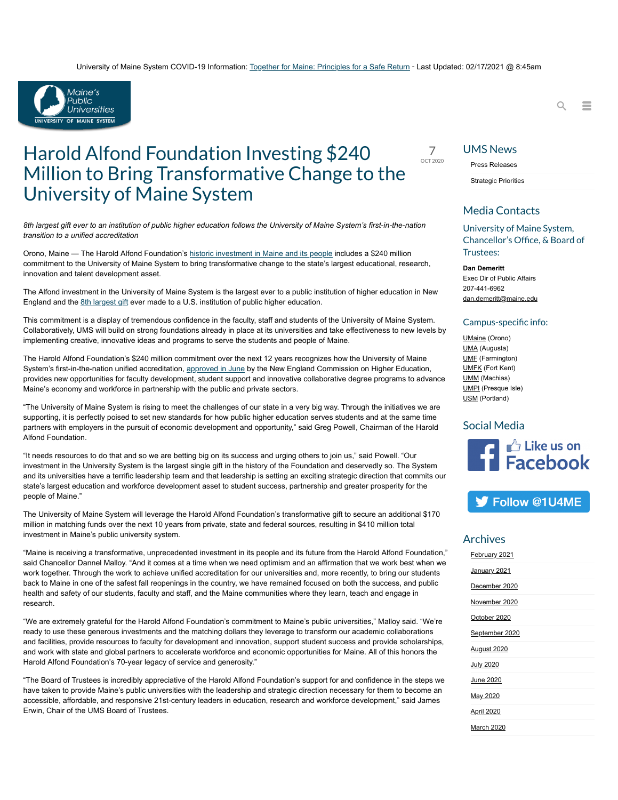#### University of Maine System COVID-19 Information: [Together for Maine: Principles for a Safe Return](https://www.maine.edu/together/) - Last Updated: 02/17/2021 @ 8:45am



# Harold Alfond Foundation Investing  $$240$ Million to Bring Transformative Change to the University of Maine System

*8th largest gift ever to an institution of public higher education follows the University of Maine System's first-in-the-nation transition to a unified accreditation* 

Orono, Maine — The Harold Alfond Foundation's [historic investment in Maine and its people](https://www.haroldalfondfoundation.org/wp-content/uploads/2020/10/HAF-press-release-10-6-20.pdf) includes a \$240 million commitment to the University of Maine System to bring transformative change to the state's largest educational, research, innovation and talent development asset.

The Alfond investment in the University of Maine System is the largest ever to a public institution of higher education in New England and the [8th largest gift](https://docs.google.com/spreadsheets/d/1ZlXcoj3d6OnEY404sWrro5VcB0k2v7rehfWy-suHCYQ/edit?usp=sharing) ever made to a U.S. institution of public higher education.

This commitment is a display of tremendous confidence in the faculty, staff and students of the University of Maine System. Collaboratively, UMS will build on strong foundations already in place at its universities and take effectiveness to new levels by implementing creative, innovative ideas and programs to serve the students and people of Maine.

The Harold Alfond Foundation's \$240 million commitment over the next 12 years recognizes how the University of Maine System's first-in-the-nation unified accreditation, [approved in June](https://www.maine.edu/blog/2020/06/26/joint-release-new-england-commission-of-higher-education-votes-to-accredit-university-of-maine-system/) by the New England Commission on Higher Education, provides new opportunities for faculty development, student support and innovative collaborative degree programs to advance Maine's economy and workforce in partnership with the public and private sectors.

"The University of Maine System is rising to meet the challenges of our state in a very big way. Through the initiatives we are supporting, it is perfectly poised to set new standards for how public higher education serves students and at the same time partners with employers in the pursuit of economic development and opportunity," said Greg Powell, Chairman of the Harold Alfond Foundation.

"It needs resources to do that and so we are betting big on its success and urging others to join us," said Powell. "Our investment in the University System is the largest single gift in the history of the Foundation and deservedly so. The System and its universities have a terrific leadership team and that leadership is setting an exciting strategic direction that commits our state's largest education and workforce development asset to student success, partnership and greater prosperity for the people of Maine."

The University of Maine System will leverage the Harold Alfond Foundation's transformative gift to secure an additional \$170 million in matching funds over the next 10 years from private, state and federal sources, resulting in \$410 million total investment in Maine's public university system.

"Maine is receiving a transformative, unprecedented investment in its people and its future from the Harold Alfond Foundation," said Chancellor Dannel Malloy. "And it comes at a time when we need optimism and an affirmation that we work best when we work together. Through the work to achieve unified accreditation for our universities and, more recently, to bring our students back to Maine in one of the safest fall reopenings in the country, we have remained focused on both the success, and public health and safety of our students, faculty and staff, and the Maine communities where they learn, teach and engage in research.

"We are extremely grateful for the Harold Alfond Foundation's commitment to Maine's public universities," Malloy said. "We're ready to use these generous investments and the matching dollars they leverage to transform our academic collaborations and facilities, provide resources to faculty for development and innovation, support student success and provide scholarships, and work with state and global partners to accelerate workforce and economic opportunities for Maine. All of this honors the Harold Alfond Foundation's 70-year legacy of service and generosity."

"The Board of Trustees is incredibly appreciative of the Harold Alfond Foundation's support for and confidence in the steps we have taken to provide Maine's public universities with the leadership and strategic direction necessary for them to become an accessible, affordable, and responsive 21st-century leaders in education, research and workforce development," said James Erwin, Chair of the UMS Board of Trustees.



### UMS News

Press [Releases](https://www.maine.edu/press-releases/)

[Strategic](https://www.maine.edu/strategic-priorities/) Priorities

### Media Contacts

University of Maine System, Chancellor's Office, & Board of Trustees:

 $Q =$ 

**Dan Demeritt** Exec Dir of Public Affairs 207-441-6962 [dan.demeritt@maine.edu](mailto:dan.demeritt@maine.edu)

#### Campus-specific info:

[UMaine](http://www.umaine.edu/news/home/media-contacts/) (Orono) [UMA](https://www.uma.edu/directory/staff-department/marketingpublications/) (Augusta) [UMF](http://pr.umf.maine.edu/contact-us/) (Farmington) [UMFK](https://www.umfk.edu/news/staff/) (Fort Kent) [UMM](mailto:amy.lentz@maine.edu) (Machias) **[UMPI](https://www.umpi.edu/offices/marketing-and-communications/)** (Presque Isle) [USM](http://www.usm.maine.edu/publicaffairs/people) (Portland)

### Social Media



## S Follow @1U4ME

### Archives

| February 2021      |
|--------------------|
| January 2021       |
| December 2020      |
| November 2020      |
| October 2020       |
| September 2020     |
| <b>August 2020</b> |
| July 2020          |
| June 2020          |
| May 2020           |
| <b>April 2020</b>  |
| March 2020         |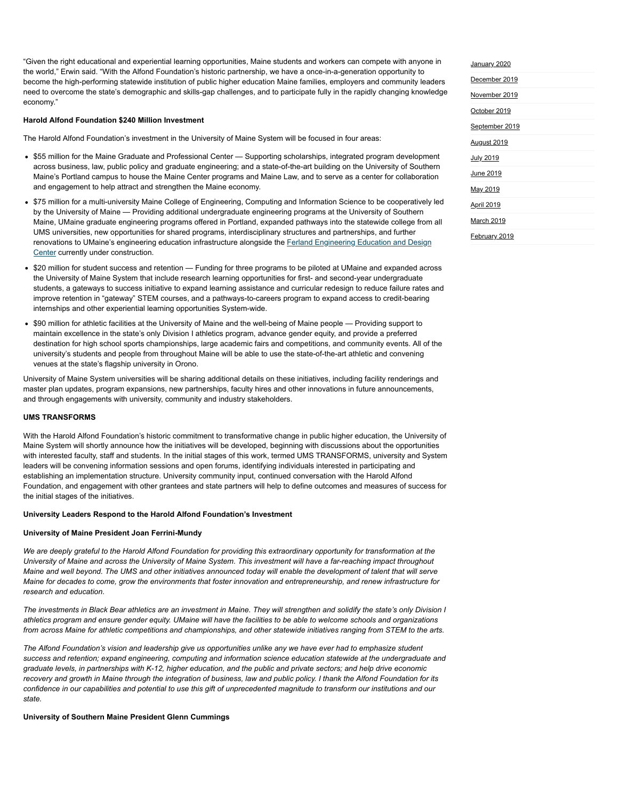"Given the right educational and experiential learning opportunities, Maine students and workers can compete with anyone in the world," Erwin said. "With the Alfond Foundation's historic partnership, we have a once-in-a-generation opportunity to become the high-performing statewide institution of public higher education Maine families, employers and community leaders need to overcome the state's demographic and skills-gap challenges, and to participate fully in the rapidly changing knowledge economy."

#### **Harold Alfond Foundation \$240 Million Investment**

The Harold Alfond Foundation's investment in the University of Maine System will be focused in four areas:

- \$55 million for the Maine Graduate and Professional Center Supporting scholarships, integrated program development across business, law, public policy and graduate engineering; and a state-of-the-art building on the University of Southern Maine's Portland campus to house the Maine Center programs and Maine Law, and to serve as a center for collaboration and engagement to help attract and strengthen the Maine economy.
- \$75 million for a multi-university Maine College of Engineering, Computing and Information Science to be cooperatively led by the University of Maine — Providing additional undergraduate engineering programs at the University of Southern Maine, UMaine graduate engineering programs offered in Portland, expanded pathways into the statewide college from all UMS universities, new opportunities for shared programs, interdisciplinary structures and partnerships, and further [renovations to UMaine's engineering education infrastructure alongside the Ferland Engineering Education and Design](https://umaine.edu/news/blog/2020/04/28/umaine-holds-virtual-groundbreaking-for-78-million-ferland-engineering-education-and-design-center/) Center currently under construction.
- \$20 million for student success and retention Funding for three programs to be piloted at UMaine and expanded across the University of Maine System that include research learning opportunities for first- and second-year undergraduate students, a gateways to success initiative to expand learning assistance and curricular redesign to reduce failure rates and improve retention in "gateway" STEM courses, and a pathways-to-careers program to expand access to credit-bearing internships and other experiential learning opportunities System-wide.
- \$90 million for athletic facilities at the University of Maine and the well-being of Maine people Providing support to maintain excellence in the state's only Division I athletics program, advance gender equity, and provide a preferred destination for high school sports championships, large academic fairs and competitions, and community events. All of the university's students and people from throughout Maine will be able to use the state-of-the-art athletic and convening venues at the state's flagship university in Orono.

University of Maine System universities will be sharing additional details on these initiatives, including facility renderings and master plan updates, program expansions, new partnerships, faculty hires and other innovations in future announcements, and through engagements with university, community and industry stakeholders.

#### **UMS TRANSFORMS**

With the Harold Alfond Foundation's historic commitment to transformative change in public higher education, the University of Maine System will shortly announce how the initiatives will be developed, beginning with discussions about the opportunities with interested faculty, staff and students. In the initial stages of this work, termed UMS TRANSFORMS, university and System leaders will be convening information sessions and open forums, identifying individuals interested in participating and establishing an implementation structure. University community input, continued conversation with the Harold Alfond Foundation, and engagement with other grantees and state partners will help to define outcomes and measures of success for the initial stages of the initiatives.

#### **University Leaders Respond to the Harold Alfond Foundation's Investment**

#### **University of Maine President Joan Ferrini-Mundy**

*We are deeply grateful to the Harold Alfond Foundation for providing this extraordinary opportunity for transformation at the University of Maine and across the University of Maine System. This investment will have a far-reaching impact throughout Maine and well beyond. The UMS and other initiatives announced today will enable the development of talent that will serve Maine for decades to come, grow the environments that foster innovation and entrepreneurship, and renew infrastructure for research and education.* 

*The investments in Black Bear athletics are an investment in Maine. They will strengthen and solidify the state's only Division I athletics program and ensure gender equity. UMaine will have the facilities to be able to welcome schools and organizations from across Maine for athletic competitions and championships, and other statewide initiatives ranging from STEM to the arts.*

*The Alfond Foundation's vision and leadership give us opportunities unlike any we have ever had to emphasize student success and retention; expand engineering, computing and information science education statewide at the undergraduate and graduate levels, in partnerships with K-12, higher education, and the public and private sectors; and help drive economic recovery and growth in Maine through the integration of business, law and public policy. I thank the Alfond Foundation for its confidence in our capabilities and potential to use this gift of unprecedented magnitude to transform our institutions and our state.* 

#### **University of Southern Maine President Glenn Cummings**

| January 2020       |  |
|--------------------|--|
| December 2019      |  |
| November 2019      |  |
| October 2019       |  |
| September 2019     |  |
| <b>August 2019</b> |  |
| July 2019          |  |
| June 2019          |  |
| May 2019           |  |
| <b>April 2019</b>  |  |
| March 2019         |  |
| February 2019      |  |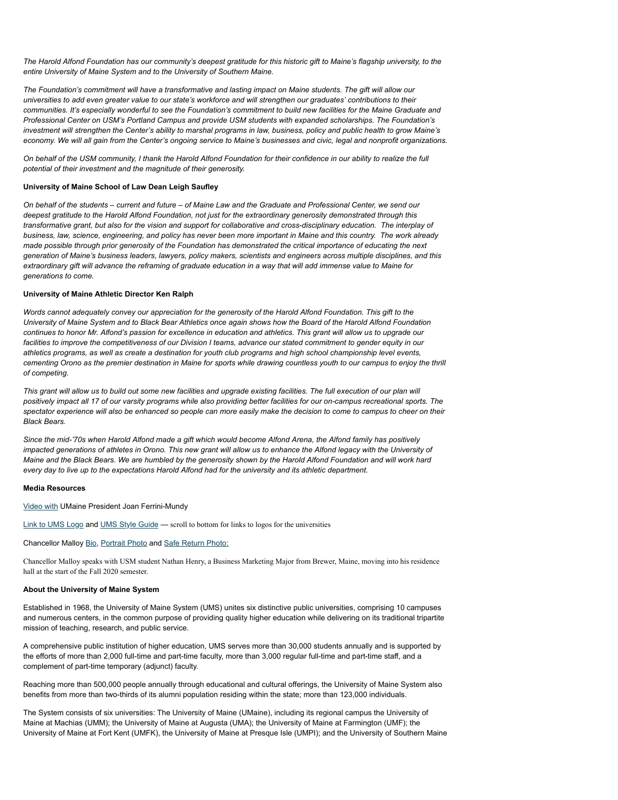*The Harold Alfond Foundation has our community's deepest gratitude for this historic gift to Maine's flagship university, to the entire University of Maine System and to the University of Southern Maine.*

*The Foundation's commitment will have a transformative and lasting impact on Maine students. The gift will allow our universities to add even greater value to our state's workforce and will strengthen our graduates' contributions to their communities. It's especially wonderful to see the Foundation's commitment to build new facilities for the Maine Graduate and Professional Center on USM's Portland Campus and provide USM students with expanded scholarships. The Foundation's investment will strengthen the Center's ability to marshal programs in law, business, policy and public health to grow Maine's economy. We will all gain from the Center's ongoing service to Maine's businesses and civic, legal and nonprofit organizations.*

*On behalf of the USM community, I thank the Harold Alfond Foundation for their confidence in our ability to realize the full potential of their investment and the magnitude of their generosity.*

#### **University of Maine School of Law Dean Leigh Saufley**

*On behalf of the students – current and future – of Maine Law and the Graduate and Professional Center, we send our deepest gratitude to the Harold Alfond Foundation, not just for the extraordinary generosity demonstrated through this transformative grant, but also for the vision and support for collaborative and cross-disciplinary education. The interplay of business, law, science, engineering, and policy has never been more important in Maine and this country. The work already made possible through prior generosity of the Foundation has demonstrated the critical importance of educating the next generation of Maine's business leaders, lawyers, policy makers, scientists and engineers across multiple disciplines, and this extraordinary gift will advance the reframing of graduate education in a way that will add immense value to Maine for generations to come.* 

#### **University of Maine Athletic Director Ken Ralph**

*Words cannot adequately convey our appreciation for the generosity of the Harold Alfond Foundation. This gift to the University of Maine System and to Black Bear Athletics once again shows how the Board of the Harold Alfond Foundation continues to honor Mr. Alfond's passion for excellence in education and athletics. This grant will allow us to upgrade our facilities to improve the competitiveness of our Division I teams, advance our stated commitment to gender equity in our athletics programs, as well as create a destination for youth club programs and high school championship level events, cementing Orono as the premier destination in Maine for sports while drawing countless youth to our campus to enjoy the thrill of competing.*

*This grant will allow us to build out some new facilities and upgrade existing facilities. The full execution of our plan will positively impact all 17 of our varsity programs while also providing better facilities for our on-campus recreational sports. The spectator experience will also be enhanced so people can more easily make the decision to come to campus to cheer on their Black Bears.*

*Since the mid-'70s when Harold Alfond made a gift which would become Alfond Arena, the Alfond family has positively impacted generations of athletes in Orono. This new grant will allow us to enhance the Alfond legacy with the University of Maine and the Black Bears. We are humbled by the generosity shown by the Harold Alfond Foundation and will work hard every day to live up to the expectations Harold Alfond had for the university and its athletic department.*

#### **Media Resources**

[Video with](https://youtu.be/PCdlMCdv6-4) UMaine President Joan Ferrini-Mundy

[Link to UMS Logo](https://drive.google.com/file/d/155eteK92nFyqVph9ZyqlpA_8YmvJzEDo/view?usp=sharing) and [UMS Style Guide](https://www.maine.edu/style-guide/) - scroll to bottom for links to logos for the universities

Chancellor Malloy [Bio](https://www.maine.edu/chancellors-office/dannel-p-malloy-chancellor/), [Portrait Photo](https://www.maine.edu/chancellors-office/wp-content/uploads/sites/53/2019/12/Malloy-Official-July-1-2019-Portrait-1.jpg) and [Safe Return Photo:](https://drive.google.com/file/d/1pjZaOfjo813n-dKS6fH3CvyQ7FaCEzNF/view?usp=sharing)

Chancellor Malloy speaks with USM student Nathan Henry, a Business Marketing Major from Brewer, Maine, moving into his residence hall at the start of the Fall 2020 semester.

#### **About the University of Maine System**

Established in 1968, the University of Maine System (UMS) unites six distinctive public universities, comprising 10 campuses and numerous centers, in the common purpose of providing quality higher education while delivering on its traditional tripartite mission of teaching, research, and public service.

A comprehensive public institution of higher education, UMS serves more than 30,000 students annually and is supported by the efforts of more than 2,000 full-time and part-time faculty, more than 3,000 regular full-time and part-time staff, and a complement of part-time temporary (adjunct) faculty.

Reaching more than 500,000 people annually through educational and cultural offerings, the University of Maine System also benefits from more than two-thirds of its alumni population residing within the state; more than 123,000 individuals.

The System consists of six universities: The University of Maine (UMaine), including its regional campus the University of Maine at Machias (UMM); the University of Maine at Augusta (UMA); the University of Maine at Farmington (UMF); the University of Maine at Fort Kent (UMFK), the University of Maine at Presque Isle (UMPI); and the University of Southern Maine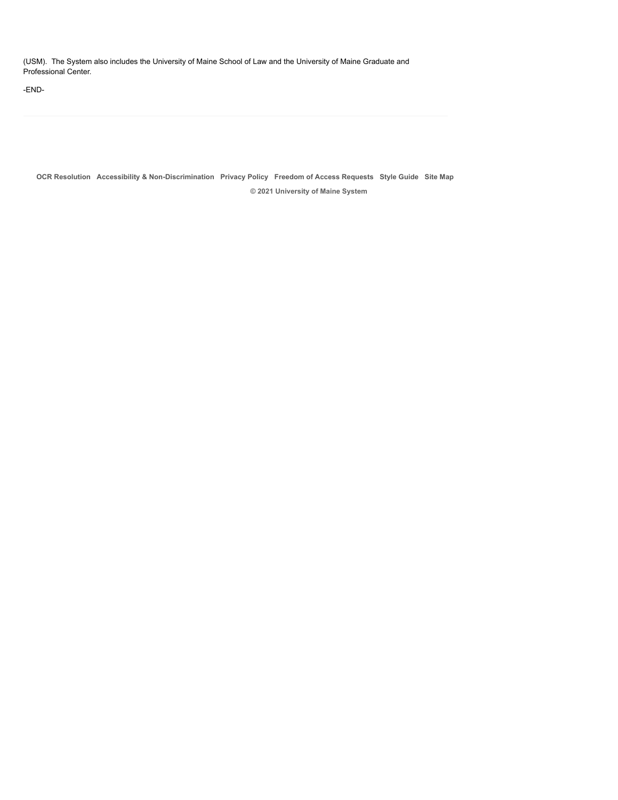(USM). The System also includes the University of Maine School of Law and the University of Maine Graduate and Professional Center.

-END-

**[OCR Resolution](https://www.maine.edu/ocr-resolution/) [Accessibility & Non-Discrimination](https://www.maine.edu/accessibility/) [Privacy Policy](https://www.maine.edu/privacy-policy/) [Freedom of Access Requests](http://www.maine.edu/general-counsel/freedom-of-access-requests/) [Style Guide](https://www.maine.edu/style-guide/) [Site Map](https://www.maine.edu/site-map/) © 2021 University of Maine System**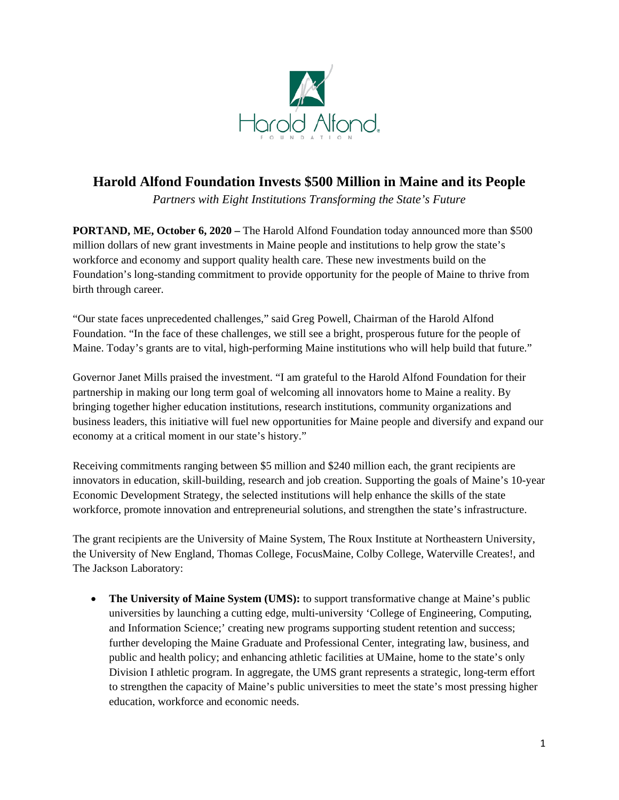

# **Harold Alfond Foundation Invests \$500 Million in Maine and its People**

*Partners with Eight Institutions Transforming the State's Future* 

**PORTAND, ME, October 6, 2020 –** The Harold Alfond Foundation today announced more than \$500 million dollars of new grant investments in Maine people and institutions to help grow the state's workforce and economy and support quality health care. These new investments build on the Foundation's long-standing commitment to provide opportunity for the people of Maine to thrive from birth through career.

"Our state faces unprecedented challenges," said Greg Powell, Chairman of the Harold Alfond Foundation. "In the face of these challenges, we still see a bright, prosperous future for the people of Maine. Today's grants are to vital, high-performing Maine institutions who will help build that future."

Governor Janet Mills praised the investment. "I am grateful to the Harold Alfond Foundation for their partnership in making our long term goal of welcoming all innovators home to Maine a reality. By bringing together higher education institutions, research institutions, community organizations and business leaders, this initiative will fuel new opportunities for Maine people and diversify and expand our economy at a critical moment in our state's history."

Receiving commitments ranging between \$5 million and \$240 million each, the grant recipients are innovators in education, skill-building, research and job creation. Supporting the goals of Maine's 10-year Economic Development Strategy, the selected institutions will help enhance the skills of the state workforce, promote innovation and entrepreneurial solutions, and strengthen the state's infrastructure.

The grant recipients are the University of Maine System, The Roux Institute at Northeastern University, the University of New England, Thomas College, FocusMaine, Colby College, Waterville Creates!, and The Jackson Laboratory:

• **The University of Maine System (UMS):** to support transformative change at Maine's public universities by launching a cutting edge, multi-university 'College of Engineering, Computing, and Information Science;' creating new programs supporting student retention and success; further developing the Maine Graduate and Professional Center, integrating law, business, and public and health policy; and enhancing athletic facilities at UMaine, home to the state's only Division I athletic program. In aggregate, the UMS grant represents a strategic, long-term effort to strengthen the capacity of Maine's public universities to meet the state's most pressing higher education, workforce and economic needs.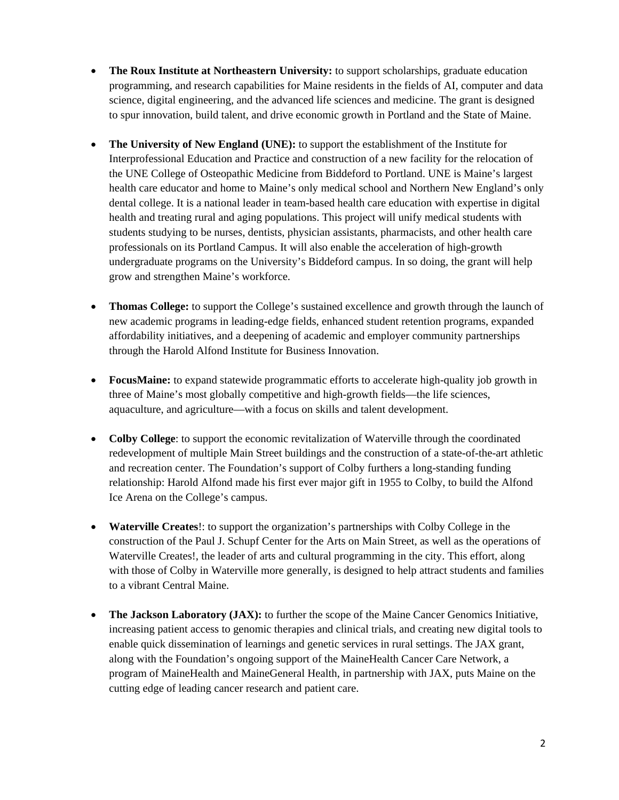- **The Roux Institute at Northeastern University:** to support scholarships, graduate education programming, and research capabilities for Maine residents in the fields of AI, computer and data science, digital engineering, and the advanced life sciences and medicine. The grant is designed to spur innovation, build talent, and drive economic growth in Portland and the State of Maine.
- **The University of New England (UNE):** to support the establishment of the Institute for Interprofessional Education and Practice and construction of a new facility for the relocation of the UNE College of Osteopathic Medicine from Biddeford to Portland. UNE is Maine's largest health care educator and home to Maine's only medical school and Northern New England's only dental college. It is a national leader in team-based health care education with expertise in digital health and treating rural and aging populations. This project will unify medical students with students studying to be nurses, dentists, physician assistants, pharmacists, and other health care professionals on its Portland Campus. It will also enable the acceleration of high-growth undergraduate programs on the University's Biddeford campus. In so doing, the grant will help grow and strengthen Maine's workforce.
- **Thomas College:** to support the College's sustained excellence and growth through the launch of new academic programs in leading-edge fields, enhanced student retention programs, expanded affordability initiatives, and a deepening of academic and employer community partnerships through the Harold Alfond Institute for Business Innovation.
- **FocusMaine:** to expand statewide programmatic efforts to accelerate high-quality job growth in three of Maine's most globally competitive and high-growth fields—the life sciences, aquaculture, and agriculture—with a focus on skills and talent development.
- **Colby College**: to support the economic revitalization of Waterville through the coordinated redevelopment of multiple Main Street buildings and the construction of a state-of-the-art athletic and recreation center. The Foundation's support of Colby furthers a long-standing funding relationship: Harold Alfond made his first ever major gift in 1955 to Colby, to build the Alfond Ice Arena on the College's campus.
- **Waterville Creates**!: to support the organization's partnerships with Colby College in the construction of the Paul J. Schupf Center for the Arts on Main Street, as well as the operations of Waterville Creates!, the leader of arts and cultural programming in the city. This effort, along with those of Colby in Waterville more generally, is designed to help attract students and families to a vibrant Central Maine.
- **The Jackson Laboratory (JAX):** to further the scope of the Maine Cancer Genomics Initiative, increasing patient access to genomic therapies and clinical trials, and creating new digital tools to enable quick dissemination of learnings and genetic services in rural settings. The JAX grant, along with the Foundation's ongoing support of the MaineHealth Cancer Care Network, a program of MaineHealth and MaineGeneral Health, in partnership with JAX, puts Maine on the cutting edge of leading cancer research and patient care.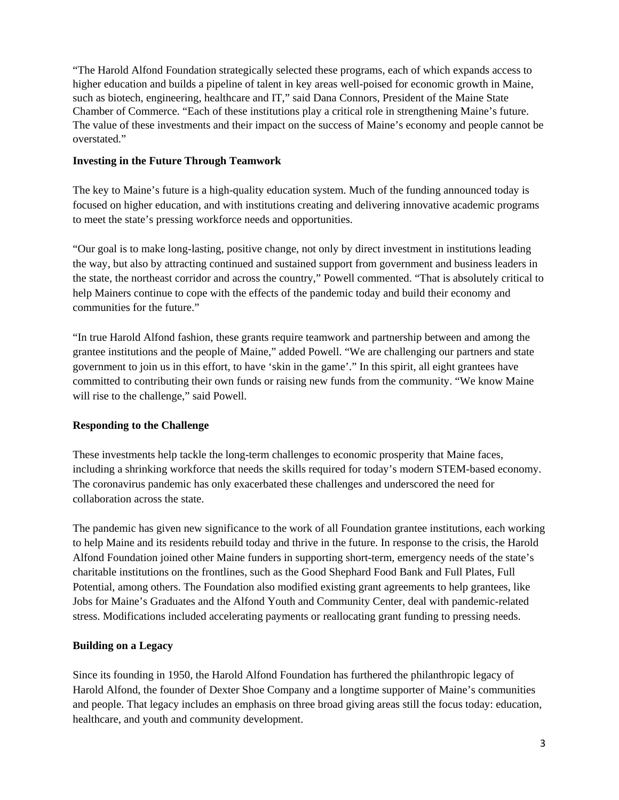"The Harold Alfond Foundation strategically selected these programs, each of which expands access to higher education and builds a pipeline of talent in key areas well-poised for economic growth in Maine, such as biotech, engineering, healthcare and IT," said Dana Connors, President of the Maine State Chamber of Commerce. "Each of these institutions play a critical role in strengthening Maine's future. The value of these investments and their impact on the success of Maine's economy and people cannot be overstated."

### **Investing in the Future Through Teamwork**

The key to Maine's future is a high-quality education system. Much of the funding announced today is focused on higher education, and with institutions creating and delivering innovative academic programs to meet the state's pressing workforce needs and opportunities.

"Our goal is to make long-lasting, positive change, not only by direct investment in institutions leading the way, but also by attracting continued and sustained support from government and business leaders in the state, the northeast corridor and across the country," Powell commented. "That is absolutely critical to help Mainers continue to cope with the effects of the pandemic today and build their economy and communities for the future."

"In true Harold Alfond fashion, these grants require teamwork and partnership between and among the grantee institutions and the people of Maine," added Powell. "We are challenging our partners and state government to join us in this effort, to have 'skin in the game'." In this spirit, all eight grantees have committed to contributing their own funds or raising new funds from the community. "We know Maine will rise to the challenge," said Powell.

## **Responding to the Challenge**

These investments help tackle the long-term challenges to economic prosperity that Maine faces, including a shrinking workforce that needs the skills required for today's modern STEM-based economy. The coronavirus pandemic has only exacerbated these challenges and underscored the need for collaboration across the state.

The pandemic has given new significance to the work of all Foundation grantee institutions, each working to help Maine and its residents rebuild today and thrive in the future. In response to the crisis, the Harold Alfond Foundation joined other Maine funders in supporting short-term, emergency needs of the state's charitable institutions on the frontlines, such as the Good Shephard Food Bank and Full Plates, Full Potential, among others. The Foundation also modified existing grant agreements to help grantees, like Jobs for Maine's Graduates and the Alfond Youth and Community Center, deal with pandemic-related stress. Modifications included accelerating payments or reallocating grant funding to pressing needs.

## **Building on a Legacy**

Since its founding in 1950, the Harold Alfond Foundation has furthered the philanthropic legacy of Harold Alfond, the founder of Dexter Shoe Company and a longtime supporter of Maine's communities and people. That legacy includes an emphasis on three broad giving areas still the focus today: education, healthcare, and youth and community development.